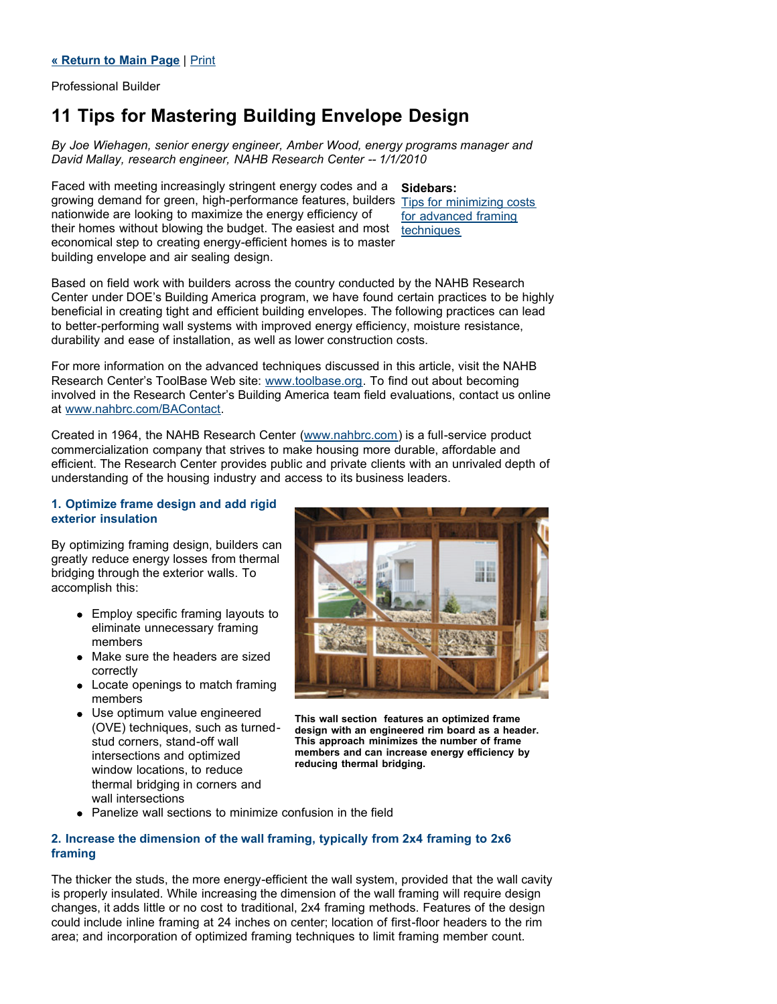Professional Builder

# **11 Tips for Mastering Building Envelope Design**

*By Joe Wiehagen, senior energy engineer, Amber Wood, energy programs manager and David Mallay, research engineer, NAHB Research Center -- 1/1/2010*

Faced with meeting increasingly stringent energy codes and a growing demand for green, high-performance features, builders nationwide are looking to maximize the energy efficiency of their homes without blowing the budget. The easiest and most economical step to creating energy-efficient homes is to master building envelope and air sealing design.

**Sidebars:** [Tips for minimizing costs](http://www.housingzone.com/index.asp?layout=articlePrint&articleID=CA6716174#Tips%20for%20minimizing%20costs%20for%20advanced%20framing%20techniques) for advanced framing techniques

Based on field work with builders across the country conducted by the NAHB Research Center under DOE's Building America program, we have found certain practices to be highly beneficial in creating tight and efficient building envelopes. The following practices can lead to better-performing wall systems with improved energy efficiency, moisture resistance, durability and ease of installation, as well as lower construction costs.

For more information on the advanced techniques discussed in this article, visit the NAHB Research Center's ToolBase Web site: [www.toolbase.org](http://www.toolbase.org/). To find out about becoming involved in the Research Center's Building America team field evaluations, contact us online at [www.nahbrc.com/BAContact](http://www.nahbrc.com/BAContact).

Created in 1964, the NAHB Research Center ([www.nahbrc.com](http://www.nahbrc.com/)) is a full-service product commercialization company that strives to make housing more durable, affordable and efficient. The Research Center provides public and private clients with an unrivaled depth of understanding of the housing industry and access to its business leaders.

#### **1. Optimize frame design and add rigid exterior insulation**

By optimizing framing design, builders can greatly reduce energy losses from thermal bridging through the exterior walls. To accomplish this:

- Employ specific framing layouts to eliminate unnecessary framing members
- Make sure the headers are sized correctly
- Locate openings to match framing members
- Use optimum value engineered (OVE) techniques, such as turnedstud corners, stand-off wall intersections and optimized window locations, to reduce thermal bridging in corners and wall intersections



**This wall section features an optimized frame design with an engineered rim board as a header. This approach minimizes the number of frame members and can increase energy efficiency by reducing thermal bridging.**

Panelize wall sections to minimize confusion in the field

#### **2. Increase the dimension of the wall framing, typically from 2x4 framing to 2x6 framing**

The thicker the studs, the more energy-efficient the wall system, provided that the wall cavity is properly insulated. While increasing the dimension of the wall framing will require design changes, it adds little or no cost to traditional, 2x4 framing methods. Features of the design could include inline framing at 24 inches on center; location of first-floor headers to the rim area; and incorporation of optimized framing techniques to limit framing member count.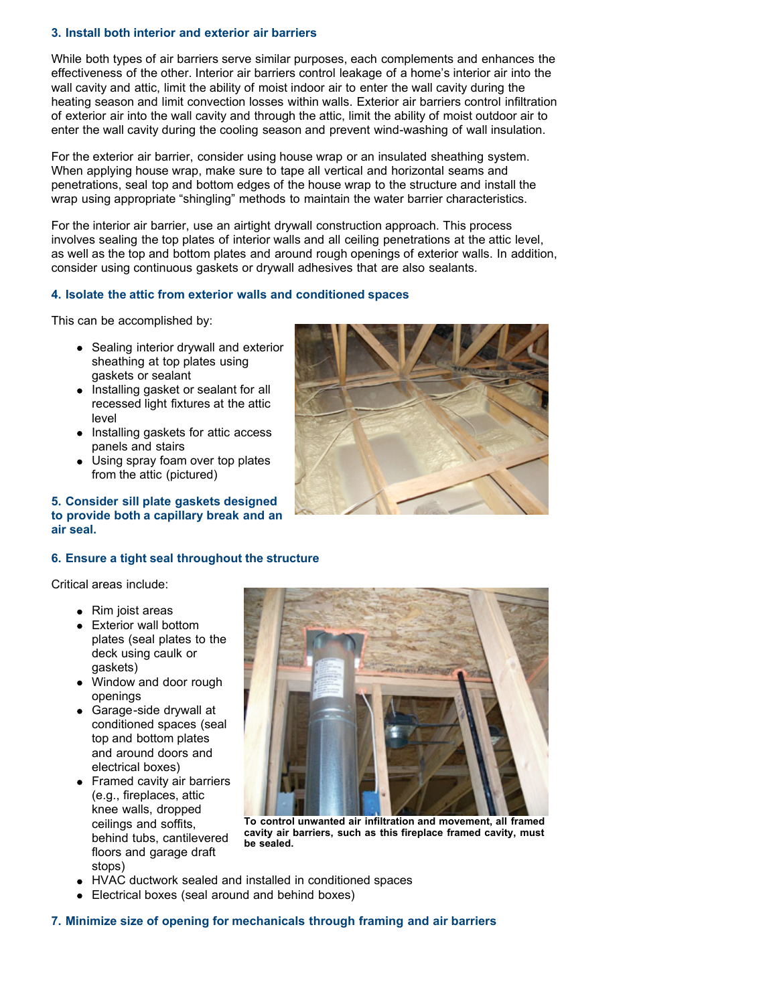#### **3. Install both interior and exterior air barriers**

While both types of air barriers serve similar purposes, each complements and enhances the effectiveness of the other. Interior air barriers control leakage of a home's interior air into the wall cavity and attic, limit the ability of moist indoor air to enter the wall cavity during the heating season and limit convection losses within walls. Exterior air barriers control infiltration of exterior air into the wall cavity and through the attic, limit the ability of moist outdoor air to enter the wall cavity during the cooling season and prevent wind-washing of wall insulation.

For the exterior air barrier, consider using house wrap or an insulated sheathing system. When applying house wrap, make sure to tape all vertical and horizontal seams and penetrations, seal top and bottom edges of the house wrap to the structure and install the wrap using appropriate "shingling" methods to maintain the water barrier characteristics.

For the interior air barrier, use an airtight drywall construction approach. This process involves sealing the top plates of interior walls and all ceiling penetrations at the attic level, as well as the top and bottom plates and around rough openings of exterior walls. In addition, consider using continuous gaskets or drywall adhesives that are also sealants.

#### **4. Isolate the attic from exterior walls and conditioned spaces**

This can be accomplished by:

- Sealing interior drywall and exterior sheathing at top plates using gaskets or sealant
- Installing gasket or sealant for all recessed light fixtures at the attic level
- Installing gaskets for attic access panels and stairs
- Using spray foam over top plates from the attic (pictured)

#### **5. Consider sill plate gaskets designed to provide both a capillary break and an air seal.**

#### **6. Ensure a tight seal throughout the structure**

Critical areas include:

- Rim joist areas
- Exterior wall bottom plates (seal plates to the deck using caulk or gaskets)
- Window and door rough openings
- Garage-side drywall at conditioned spaces (seal top and bottom plates and around doors and electrical boxes)
- Framed cavity air barriers (e.g., fireplaces, attic knee walls, dropped ceilings and soffits, behind tubs, cantilevered floors and garage draft stops)





**To control unwanted air infiltration and movement, all framed cavity air barriers, such as this fireplace framed cavity, must be sealed.**

- HVAC ductwork sealed and installed in conditioned spaces
- Electrical boxes (seal around and behind boxes)

**7. Minimize size of opening for mechanicals through framing and air barriers**